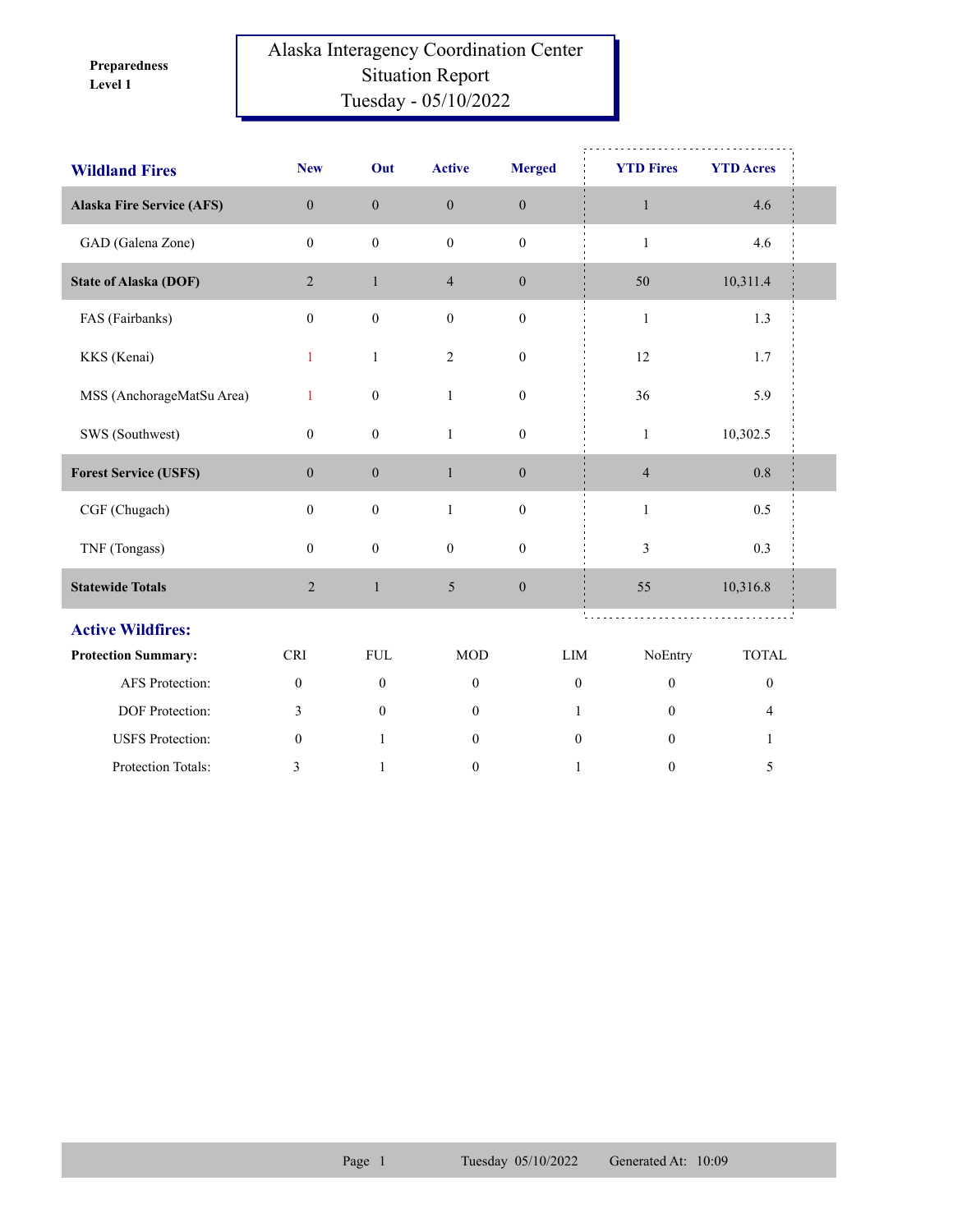**Level 1 Preparedness** 

## Alaska Interagency Coordination Center Situation Report Tuesday - 05/10/2022

| <b>Wildland Fires</b>            | <b>New</b>       | Out              | <b>Active</b>    | <b>Merged</b>    | <b>YTD Fires</b>                     | <b>YTD Acres</b> |  |
|----------------------------------|------------------|------------------|------------------|------------------|--------------------------------------|------------------|--|
| <b>Alaska Fire Service (AFS)</b> | $\overline{0}$   | $\mathbf{0}$     | $\mathbf{0}$     | $\mathbf{0}$     | $\mathbf{1}$                         | 4.6              |  |
| GAD (Galena Zone)                | $\mathbf{0}$     | $\mathbf{0}$     | $\boldsymbol{0}$ | $\mathbf{0}$     | $\mathbf{1}$                         | 4.6              |  |
| <b>State of Alaska (DOF)</b>     | $\overline{2}$   | $\mathbf{1}$     | $\overline{4}$   | $\boldsymbol{0}$ | 50                                   | 10,311.4         |  |
| FAS (Fairbanks)                  | $\boldsymbol{0}$ | $\boldsymbol{0}$ | $\mathbf{0}$     | $\boldsymbol{0}$ | $\mathbf{1}$                         | 1.3              |  |
| KKS (Kenai)                      | 1                | $\mathbf{1}$     | $\overline{2}$   | $\boldsymbol{0}$ | 12                                   | 1.7              |  |
| MSS (AnchorageMatSu Area)        | 1                | $\boldsymbol{0}$ | $\mathbf{1}$     | $\boldsymbol{0}$ | 36                                   | 5.9              |  |
| SWS (Southwest)                  | $\mathbf{0}$     | $\boldsymbol{0}$ | $\mathbf{1}$     | $\mathbf{0}$     | $\mathbf{1}$                         | 10,302.5         |  |
| <b>Forest Service (USFS)</b>     | $\boldsymbol{0}$ | $\boldsymbol{0}$ | $\mathbf{1}$     | $\boldsymbol{0}$ | $\overline{4}$                       | 0.8              |  |
| CGF (Chugach)                    | $\mathbf{0}$     | $\boldsymbol{0}$ | $\mathbf{1}$     | $\boldsymbol{0}$ | $\mathbf{1}$                         | 0.5              |  |
| TNF (Tongass)                    | $\mathbf{0}$     | $\boldsymbol{0}$ | $\boldsymbol{0}$ | $\boldsymbol{0}$ | 3                                    | 0.3              |  |
| <b>Statewide Totals</b>          | $\overline{c}$   | $\mathbf{1}$     | 5                | $\boldsymbol{0}$ | 55                                   | 10,316.8         |  |
| <b>Active Wildfires:</b>         |                  |                  |                  |                  |                                      |                  |  |
| <b>Protection Summary:</b>       | <b>CRI</b>       | ${\rm FUL}$      | <b>MOD</b>       | LIM              | NoEntry                              | <b>TOTAL</b>     |  |
| AFS Protection:                  | $\boldsymbol{0}$ | $\boldsymbol{0}$ | $\boldsymbol{0}$ |                  | $\boldsymbol{0}$<br>$\boldsymbol{0}$ | $\boldsymbol{0}$ |  |
| DOF Protection:                  | 3                | $\mathbf{0}$     | $\mathbf{0}$     |                  | $\mathbf{0}$<br>1                    | 4                |  |
| <b>USFS</b> Protection:          | $\mathbf{0}$     | $\mathbf{1}$     | $\mathbf{0}$     |                  | $\mathbf{0}$<br>$\theta$             | $\mathbf{1}$     |  |
| Protection Totals:               | 3                | $\mathbf{1}$     | $\mathbf{0}$     |                  | $\mathbf{1}$<br>$\mathbf{0}$         | 5                |  |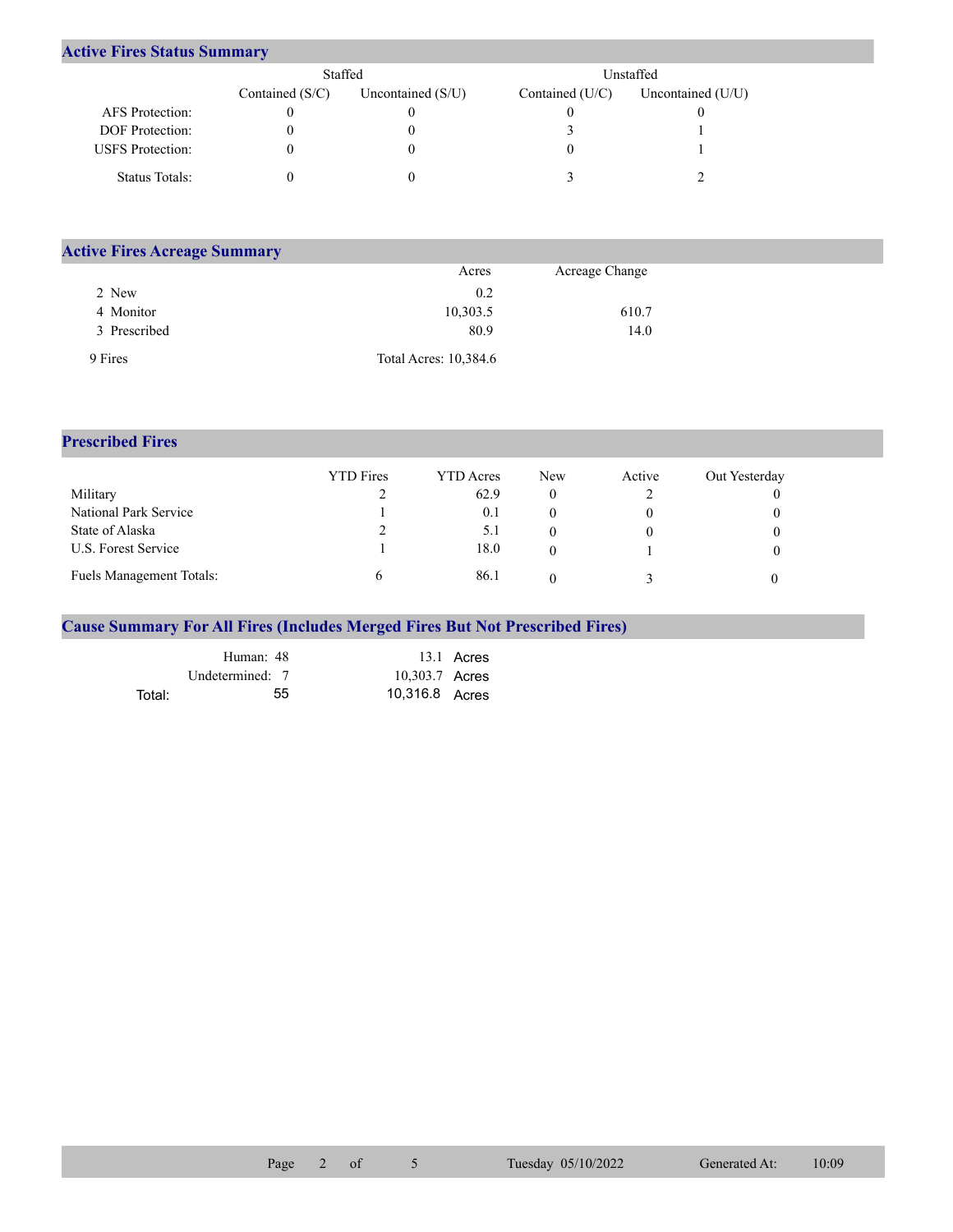## **Active Fires Status Summary**

|                         | Staffed           |                     |                 | Unstaffed.          |
|-------------------------|-------------------|---------------------|-----------------|---------------------|
|                         | Contained $(S/C)$ | Uncontained $(S/U)$ | Contained (U/C) | Uncontained $(U/U)$ |
| AFS Protection:         |                   |                     |                 |                     |
| <b>DOF</b> Protection:  |                   |                     |                 |                     |
| <b>USFS</b> Protection: |                   |                     |                 |                     |
| Status Totals:          |                   |                     |                 |                     |

| <b>Active Fires Acreage Summary</b> |                       |                |  |
|-------------------------------------|-----------------------|----------------|--|
|                                     | Acres                 | Acreage Change |  |
| 2 New                               | 0.2                   |                |  |
| 4 Monitor                           | 10,303.5              | 610.7          |  |
| 3 Prescribed                        | 80.9                  | 14.0           |  |
| 9 Fires                             | Total Acres: 10,384.6 |                |  |

## **Prescribed Fires**

|                                 | <b>YTD</b> Fires | YTD Acres | <b>New</b> | Active | Out Yesterday |
|---------------------------------|------------------|-----------|------------|--------|---------------|
| Military                        |                  | 62.9      |            |        |               |
| National Park Service           |                  | 0.1       |            |        |               |
| State of Alaska                 |                  | 5.1       |            |        |               |
| U.S. Forest Service             |                  | 18.0      |            |        |               |
| <b>Fuels Management Totals:</b> |                  | 86.1      |            |        |               |

## **Cause Summary For All Fires (Includes Merged Fires But Not Prescribed Fires)**

|        | Human: 48       |                | 13.1 Acres |
|--------|-----------------|----------------|------------|
|        | Undetermined: 7 | 10,303.7 Acres |            |
| Total: | 55              | 10,316.8 Acres |            |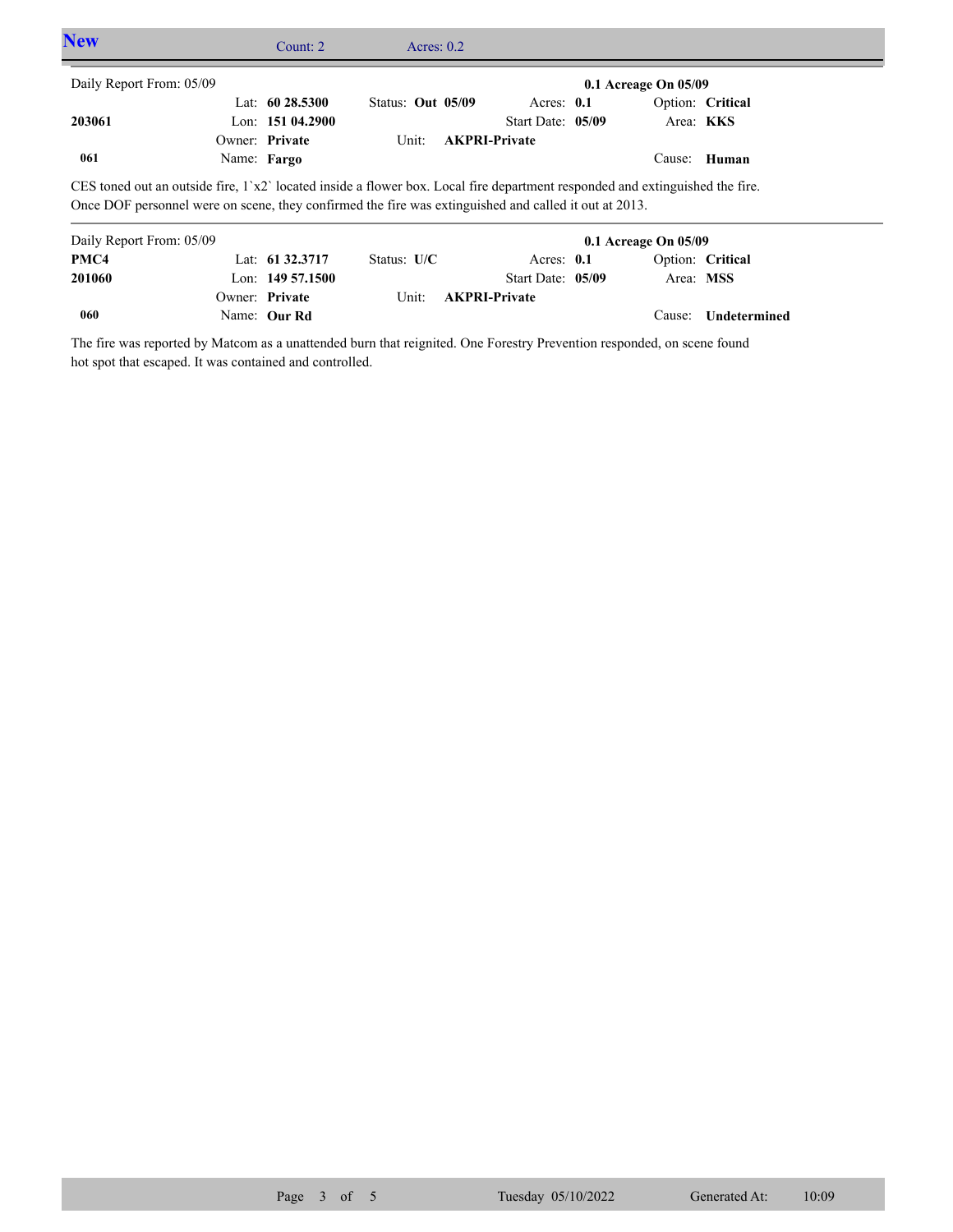| <b>New</b>               | Count: $2 \overline{ }$                                                                                                                                                                                                                  | Acres: $0.2$      |                      |                          |       |  |
|--------------------------|------------------------------------------------------------------------------------------------------------------------------------------------------------------------------------------------------------------------------------------|-------------------|----------------------|--------------------------|-------|--|
| Daily Report From: 05/09 |                                                                                                                                                                                                                                          |                   |                      | $0.1$ Acreage On $05/09$ |       |  |
|                          | Lat: $60\,28.5300$                                                                                                                                                                                                                       | Status: Out 05/09 | Acres: $0.1$         | Option: Critical         |       |  |
| 203061                   | Lon: $15104.2900$                                                                                                                                                                                                                        |                   | Start Date: 05/09    | Area: <b>KKS</b>         |       |  |
|                          | Owner: Private                                                                                                                                                                                                                           | Unit:             | <b>AKPRI-Private</b> |                          |       |  |
| 061                      | Name: Fargo                                                                                                                                                                                                                              |                   |                      | Cause:                   | Human |  |
|                          | CES toned out an outside fire, $1^x2^y$ located inside a flower box. Local fire department responded and extinguished the fire.<br>Once DOF personnel were on scene, they confirmed the fire was extinguished and called it out at 2013. |                   |                      |                          |       |  |
| Daily Report From: 05/09 |                                                                                                                                                                                                                                          |                   |                      | $0.1$ Acreage On $05/09$ |       |  |
| PMC4                     | Lat: 61 32.3717                                                                                                                                                                                                                          | Status: $U/C$     | Acres: $0.1$         | Option: Critical         |       |  |
| 201060                   | Lon: $14957.1500$                                                                                                                                                                                                                        |                   | Start Date: 05/09    | Area: MSS                |       |  |
|                          | Owner: Private                                                                                                                                                                                                                           | Unit:             | <b>AKPRI-Private</b> |                          |       |  |

The fire was reported by Matcom as a unattended burn that reignited. One Forestry Prevention responded, on scene found hot spot that escaped. It was contained and controlled.

Name: **Our Rd**

**060**

Cause: **Undetermined**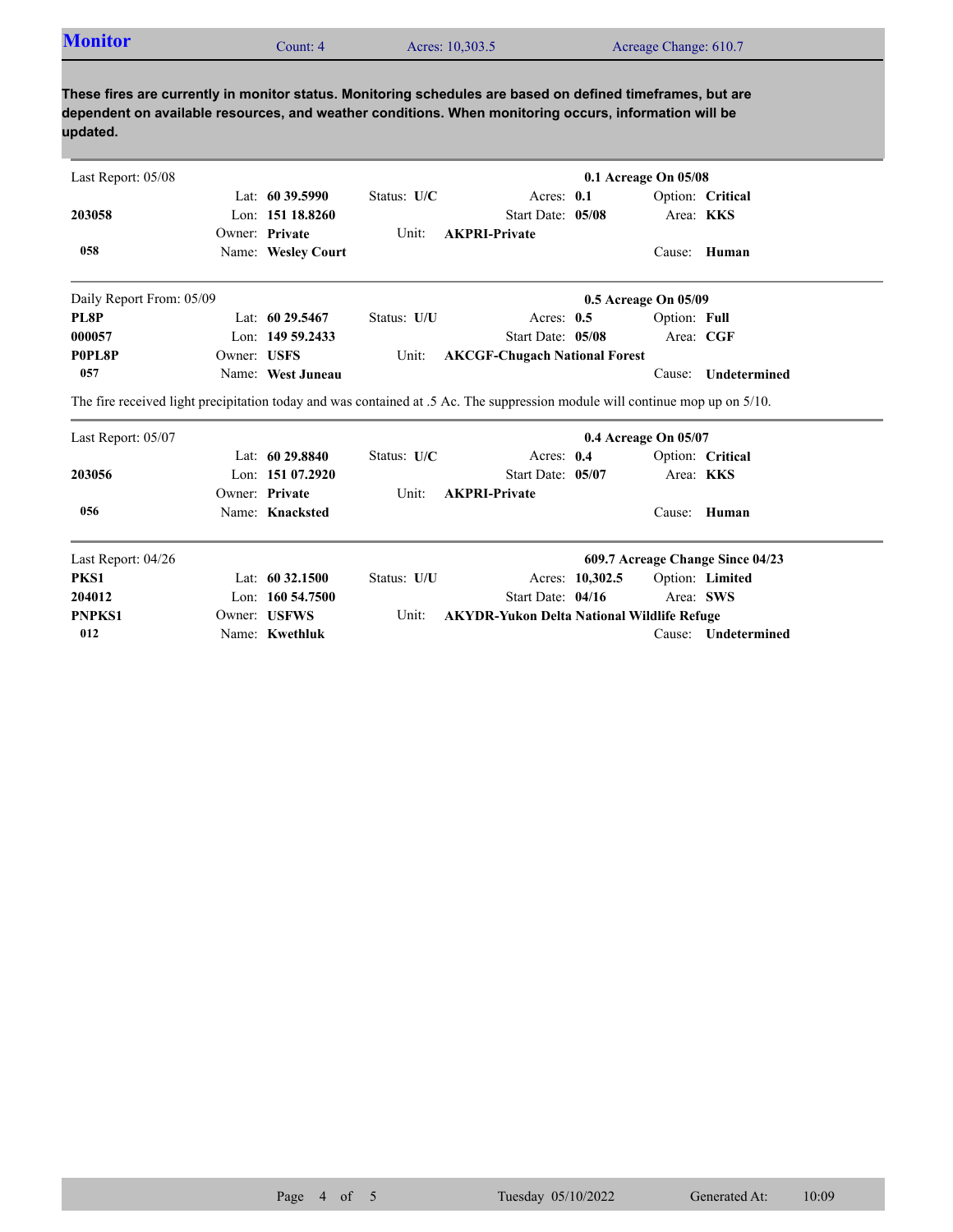| <b>Monitor</b> | Count: 4 | Acres: 10,303.5 | Acreage Change: 610.7 |  |
|----------------|----------|-----------------|-----------------------|--|
|                |          |                 |                       |  |

**These fires are currently in monitor status. Monitoring schedules are based on defined timeframes, but are dependent on available resources, and weather conditions. When monitoring occurs, information will be updated.**

| Last Report: 05/08                                                                                                           |             |                     |             |                                                   |                 | 0.1 Acreage On 05/08 |                                  |  |
|------------------------------------------------------------------------------------------------------------------------------|-------------|---------------------|-------------|---------------------------------------------------|-----------------|----------------------|----------------------------------|--|
|                                                                                                                              |             | Lat: $6039.5990$    | Status: U/C | Acres: $0.1$                                      |                 |                      | Option: Critical                 |  |
| 203058                                                                                                                       |             | Lon: 151 18.8260    |             | Start Date: 05/08                                 |                 | Area: KKS            |                                  |  |
|                                                                                                                              |             | Owner: Private      | Unit:       | <b>AKPRI-Private</b>                              |                 |                      |                                  |  |
| 058                                                                                                                          |             | Name: Wesley Court  |             |                                                   |                 |                      | Cause: Human                     |  |
| Daily Report From: 05/09                                                                                                     |             |                     |             |                                                   |                 | 0.5 Acreage On 05/09 |                                  |  |
| PL8P                                                                                                                         |             | Lat: $6029.5467$    | Status: U/U | Acres: $0.5$                                      |                 | Option: Full         |                                  |  |
| 000057                                                                                                                       |             | Lon: 149 59.2433    |             | Start Date: 05/08                                 |                 | Area: CGF            |                                  |  |
| P0PL8P                                                                                                                       | Owner: USFS |                     | Unit:       | <b>AKCGF-Chugach National Forest</b>              |                 |                      |                                  |  |
| 057                                                                                                                          |             | Name: West Juneau   |             |                                                   |                 | Cause:               | <b>Undetermined</b>              |  |
| The fire received light precipitation today and was contained at .5 Ac. The suppression module will continue mop up on 5/10. |             |                     |             |                                                   |                 |                      |                                  |  |
| Last Report: 05/07                                                                                                           |             |                     |             |                                                   |                 | 0.4 Acreage On 05/07 |                                  |  |
|                                                                                                                              |             | Lat: $6029.8840$    | Status: U/C | Acres: 0.4                                        |                 |                      | Option: Critical                 |  |
| 203056                                                                                                                       |             | Lon: $15107.2920$   |             | Start Date: 05/07                                 |                 | Area: KKS            |                                  |  |
|                                                                                                                              |             | Owner: Private      | Unit:       | <b>AKPRI-Private</b>                              |                 |                      |                                  |  |
| 056                                                                                                                          |             | Name: Knacksted     |             |                                                   |                 | Cause:               | Human                            |  |
| Last Report: 04/26                                                                                                           |             |                     |             |                                                   |                 |                      | 609.7 Acreage Change Since 04/23 |  |
| PKS1                                                                                                                         |             | Lat: $60\,32.1500$  | Status: U/U |                                                   | Acres: 10,302.5 |                      | Option: Limited                  |  |
| 204012                                                                                                                       |             | Lon: $160\,54.7500$ |             | Start Date: 04/16                                 |                 | Area: SWS            |                                  |  |
| <b>PNPKS1</b>                                                                                                                |             | Owner: USFWS        | Unit:       | <b>AKYDR-Yukon Delta National Wildlife Refuge</b> |                 |                      |                                  |  |
| 012                                                                                                                          |             | Name: Kwethluk      |             |                                                   |                 | Cause:               | Undetermined                     |  |